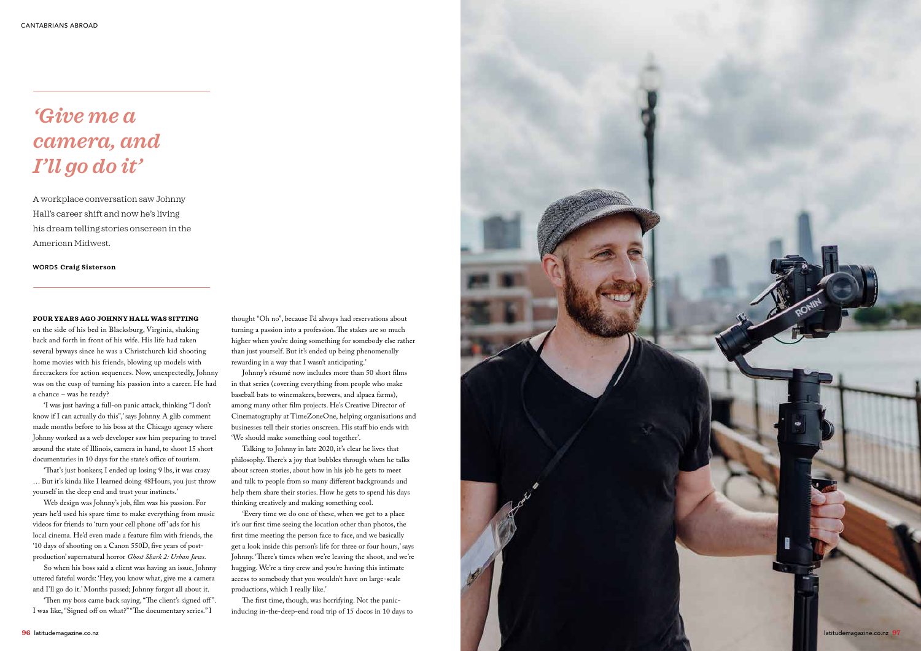## *'Give me a camera, and I'll go do it'*

A workplace conversation saw Johnny Hall's career shift and now he's living his dream telling stories onscreen in the American Midwest.

## WORDS **Craig Sisterson**

## **FOUR YEARS AGO JOHNNY HALL WAS SITTING**

on the side of his bed in Blacksburg, Virginia, shaking back and forth in front of his wife. His life had taken several byways since he was a Christchurch kid shooting home movies with his friends, blowing up models with firecrackers for action sequences. Now, unexpectedly, Johnny was on the cusp of turning his passion into a career. He had a chance – was he ready?

'I was just having a full-on panic attack, thinking "I don't know if I can actually do this",' says Johnny. A glib comment made months before to his boss at the Chicago agency where Johnny worked as a web developer saw him preparing to travel around the state of Illinois, camera in hand, to shoot 15 short documentaries in 10 days for the state's office of tourism.

'That's just bonkers; I ended up losing 9 lbs, it was crazy … But it's kinda like I learned doing 48Hours, you just throw yourself in the deep end and trust your instincts.'

Web design was Johnny's job, film was his passion. For years he'd used his spare time to make everything from music videos for friends to 'turn your cell phone off' ads for his local cinema. He'd even made a feature film with friends, the '10 days of shooting on a Canon 550D, five years of postproduction' supernatural horror *Ghost Shark 2: Urban Jaws.*

So when his boss said a client was having an issue, Johnny uttered fateful words: 'Hey, you know what, give me a camera and I'll go do it.' Months passed; Johnny forgot all about it.

'Then my boss came back saying, "The client's signed off ". I was like, "Signed off on what?" "The documentary series." I

thought "Oh no", because I'd always had reservations about turning a passion into a profession. The stakes are so much higher when you're doing something for somebody else rather than just yourself. But it's ended up being phenomenally rewarding in a way that I wasn't anticipating.'

Johnny's résumé now includes more than 50 short films in that series (covering everything from people who make baseball bats to winemakers, brewers, and alpaca farms), among many other film projects. He's Creative Director of Cinematography at TimeZoneOne, helping organisations and businesses tell their stories onscreen. His staff bio ends with 'We should make something cool together'.

Talking to Johnny in late 2020, it's clear he lives that philosophy. There's a joy that bubbles through when he talks about screen stories, about how in his job he gets to meet and talk to people from so many different backgrounds and help them share their stories. How he gets to spend his days thinking creatively and making something cool.

'Every time we do one of these, when we get to a place it's our first time seeing the location other than photos, the first time meeting the person face to face, and we basically get a look inside this person's life for three or four hours,' says Johnny. 'There's times when we're leaving the shoot, and we're hugging. We're a tiny crew and you're having this intimate access to somebody that you wouldn't have on large-scale productions, which I really like.'

The first time, though, was horrifying. Not the panicinducing in-the-deep-end road trip of 15 docos in 10 days to